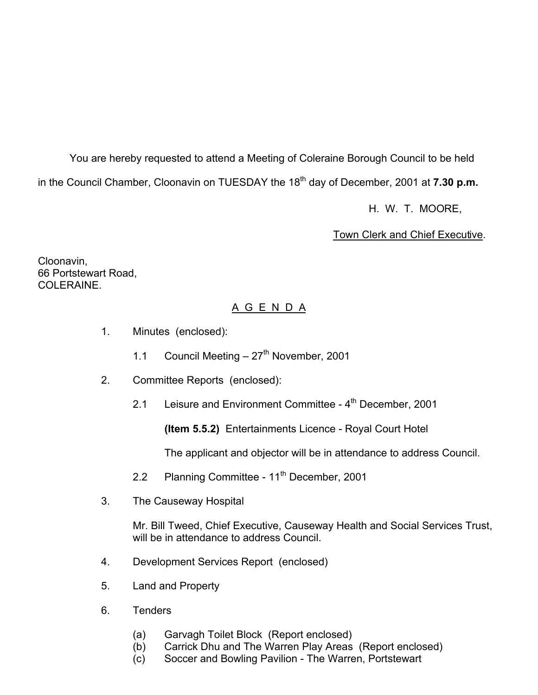You are hereby requested to attend a Meeting of Coleraine Borough Council to be held in the Council Chamber, Cloonavin on TUESDAY the 18<sup>th</sup> day of December, 2001 at **7.30 p.m.** 

H. W. T. MOORE,

Town Clerk and Chief Executive.

Cloonavin, 66 Portstewart Road, COLERAINE.

# A G E N D A

- 1. Minutes (enclosed):
	- 1.1 Council Meeting  $-27<sup>th</sup>$  November, 2001
- 2. Committee Reports (enclosed):
	- 2.1 Leisure and Environment Committee 4<sup>th</sup> December, 2001

**(Item 5.5.2)** Entertainments Licence - Royal Court Hotel

The applicant and objector will be in attendance to address Council.

- 2.2 Planning Committee 11<sup>th</sup> December, 2001
- 3. The Causeway Hospital

 Mr. Bill Tweed, Chief Executive, Causeway Health and Social Services Trust, will be in attendance to address Council

- 4. Development Services Report (enclosed)
- 5. Land and Property
- 6. Tenders
	- (a) Garvagh Toilet Block (Report enclosed)
	- (b) Carrick Dhu and The Warren Play Areas (Report enclosed)
	- (c) Soccer and Bowling Pavilion The Warren, Portstewart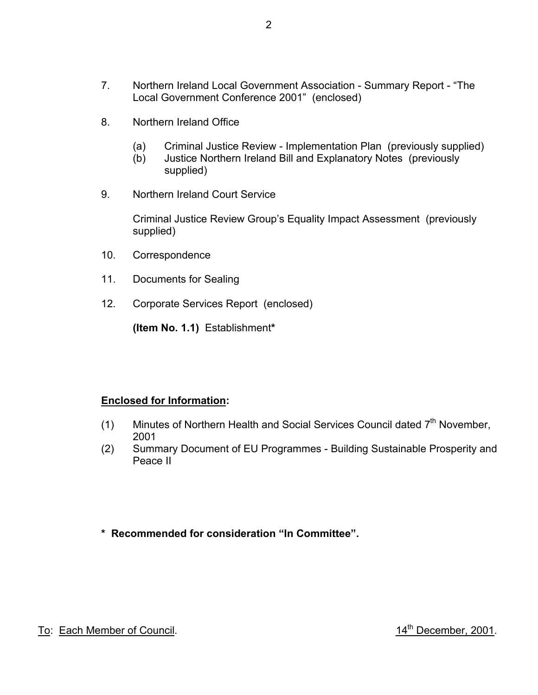- 8. Northern Ireland Office
	- (a) Criminal Justice Review Implementation Plan (previously supplied)
	- (b) Justice Northern Ireland Bill and Explanatory Notes (previously supplied)
- 9. Northern Ireland Court Service

 Criminal Justice Review Group's Equality Impact Assessment (previously supplied)

- 10. Correspondence
- 11. Documents for Sealing
- 12. Corporate Services Report (enclosed)

**(Item No. 1.1)** Establishment**\***

# **Enclosed for Information:**

- (1) Minutes of Northern Health and Social Services Council dated  $7<sup>th</sup>$  November, 2001
- (2) Summary Document of EU Programmes Building Sustainable Prosperity and Peace II
- **\* Recommended for consideration "In Committee".**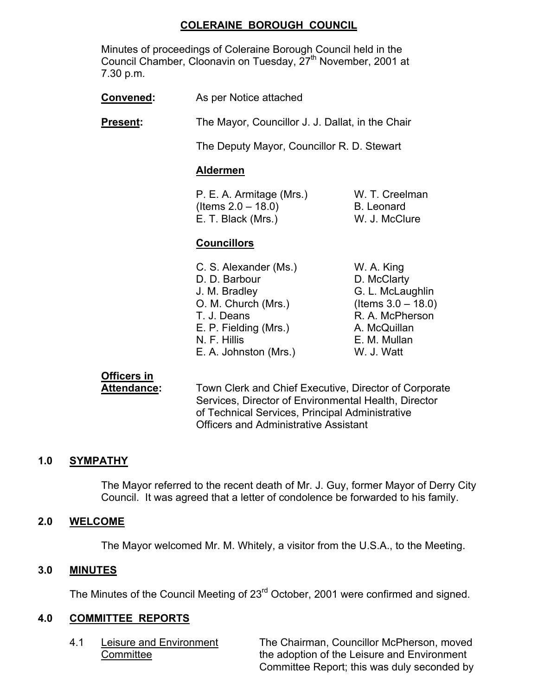## **COLERAINE BOROUGH COUNCIL**

 Minutes of proceedings of Coleraine Borough Council held in the Council Chamber, Cloonavin on Tuesday, 27<sup>th</sup> November, 2001 at 7.30 p.m.

**Convened:** As per Notice attached

**Present:** The Mayor, Councillor J. J. Dallat, in the Chair

The Deputy Mayor, Councillor R. D. Stewart

#### **Aldermen**

 P. E. A. Armitage (Mrs.) W. T. Creelman  $($ ltems  $2.0 - 18.0$ ) B. Leonard E. T. Black (Mrs.) W. J. McClure

## **Councillors**

| C. S. Alexander (Ms.) | W. A. King            |
|-----------------------|-----------------------|
| D. D. Barbour         | D. McClarty           |
| J. M. Bradley         | G. L. McLaughlin      |
| O. M. Church (Mrs.)   | (Items $3.0 - 18.0$ ) |
| T. J. Deans           | R. A. McPherson       |
| E. P. Fielding (Mrs.) | A. McQuillan          |
| N. F. Hillis          | E. M. Mullan          |
| E. A. Johnston (Mrs.) | W. J. Watt            |

# **Officers in**

 **Attendance:** Town Clerk and Chief Executive, Director of Corporate Services, Director of Environmental Health, Director of Technical Services, Principal Administrative Officers and Administrative Assistant

## **1.0 SYMPATHY**

 The Mayor referred to the recent death of Mr. J. Guy, former Mayor of Derry City Council. It was agreed that a letter of condolence be forwarded to his family.

#### **2.0 WELCOME**

The Mayor welcomed Mr. M. Whitely, a visitor from the U.S.A., to the Meeting.

#### **3.0 MINUTES**

The Minutes of the Council Meeting of 23<sup>rd</sup> October, 2001 were confirmed and signed.

#### **4.0 COMMITTEE REPORTS**

 4.1 Leisure and Environment The Chairman, Councillor McPherson, moved Committee **the adoption of the Leisure and Environment** Committee Report; this was duly seconded by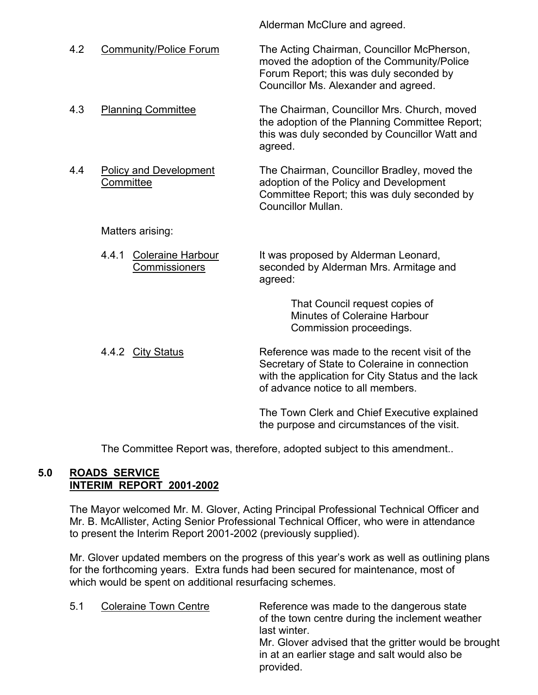| 4.2 | <b>Community/Police Forum</b>                      | The Acting Chairman, Councillor McPherson,<br>moved the adoption of the Community/Police<br>Forum Report; this was duly seconded by<br>Councillor Ms. Alexander and agreed.              |
|-----|----------------------------------------------------|------------------------------------------------------------------------------------------------------------------------------------------------------------------------------------------|
| 4.3 | <b>Planning Committee</b>                          | The Chairman, Councillor Mrs. Church, moved<br>the adoption of the Planning Committee Report;<br>this was duly seconded by Councillor Watt and<br>agreed.                                |
| 4.4 | <b>Policy and Development</b><br>Committee         | The Chairman, Councillor Bradley, moved the<br>adoption of the Policy and Development<br>Committee Report; this was duly seconded by<br>Councillor Mullan.                               |
|     | Matters arising:                                   |                                                                                                                                                                                          |
|     | Coleraine Harbour<br>4.4.1<br><b>Commissioners</b> | It was proposed by Alderman Leonard,<br>seconded by Alderman Mrs. Armitage and<br>agreed:                                                                                                |
|     |                                                    | That Council request copies of<br><b>Minutes of Coleraine Harbour</b><br>Commission proceedings.                                                                                         |
|     | 4.4.2 City Status                                  | Reference was made to the recent visit of the<br>Secretary of State to Coleraine in connection<br>with the application for City Status and the lack<br>of advance notice to all members. |
|     |                                                    | The Town Clerk and Chief Executive explained                                                                                                                                             |

Alderman McClure and agreed.

The Committee Report was, therefore, adopted subject to this amendment..

the purpose and circumstances of the visit.

# **5.0 ROADS SERVICE INTERIM REPORT 2001-2002**

The Mayor welcomed Mr. M. Glover, Acting Principal Professional Technical Officer and Mr. B. McAllister, Acting Senior Professional Technical Officer, who were in attendance to present the Interim Report 2001-2002 (previously supplied).

 Mr. Glover updated members on the progress of this year's work as well as outlining plans for the forthcoming years. Extra funds had been secured for maintenance, most of which would be spent on additional resurfacing schemes.

5.1 Coleraine Town Centre Reference was made to the dangerous state of the town centre during the inclement weather last winter. Mr. Glover advised that the gritter would be brought in at an earlier stage and salt would also be provided.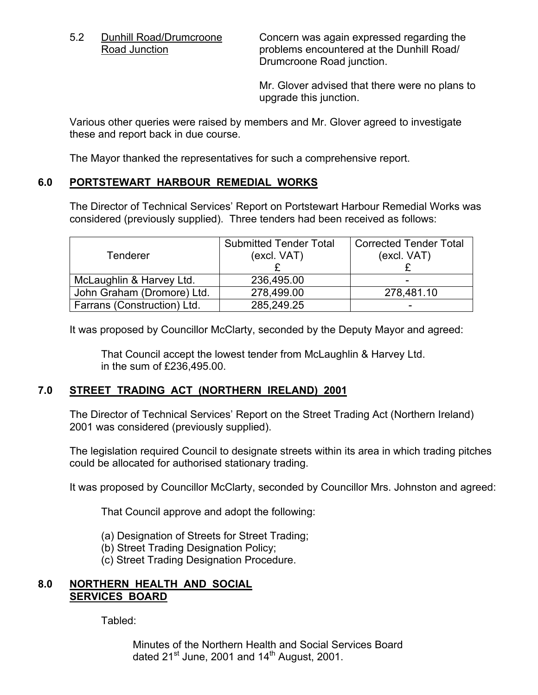5.2 Dunhill Road/Drumcroone Concern was again expressed regarding the<br>Road Junction concern was again expressed regarding the problems encountered at the Dunhill Road/ Drumcroone Road junction.

> Mr. Glover advised that there were no plans to upgrade this junction.

 Various other queries were raised by members and Mr. Glover agreed to investigate these and report back in due course.

The Mayor thanked the representatives for such a comprehensive report.

## **6.0 PORTSTEWART HARBOUR REMEDIAL WORKS**

 The Director of Technical Services' Report on Portstewart Harbour Remedial Works was considered (previously supplied). Three tenders had been received as follows:

| <b>Tenderer</b>             | <b>Submitted Tender Total</b><br>(excl. VAT) | <b>Corrected Tender Total</b><br>(excl. VAT) |
|-----------------------------|----------------------------------------------|----------------------------------------------|
|                             |                                              |                                              |
| McLaughlin & Harvey Ltd.    | 236,495.00                                   | $\overline{\phantom{0}}$                     |
| John Graham (Dromore) Ltd.  | 278,499.00                                   | 278,481.10                                   |
| Farrans (Construction) Ltd. | 285,249.25                                   |                                              |

It was proposed by Councillor McClarty, seconded by the Deputy Mayor and agreed:

 That Council accept the lowest tender from McLaughlin & Harvey Ltd. in the sum of £236,495.00.

## **7.0 STREET TRADING ACT (NORTHERN IRELAND) 2001**

 The Director of Technical Services' Report on the Street Trading Act (Northern Ireland) 2001 was considered (previously supplied).

 The legislation required Council to designate streets within its area in which trading pitches could be allocated for authorised stationary trading.

It was proposed by Councillor McClarty, seconded by Councillor Mrs. Johnston and agreed:

That Council approve and adopt the following:

- (a) Designation of Streets for Street Trading;
- (b) Street Trading Designation Policy;
- (c) Street Trading Designation Procedure.

### **8.0 NORTHERN HEALTH AND SOCIAL SERVICES BOARD**

Tabled:

 Minutes of the Northern Health and Social Services Board dated  $21^{st}$  June, 2001 and  $14^{th}$  August, 2001.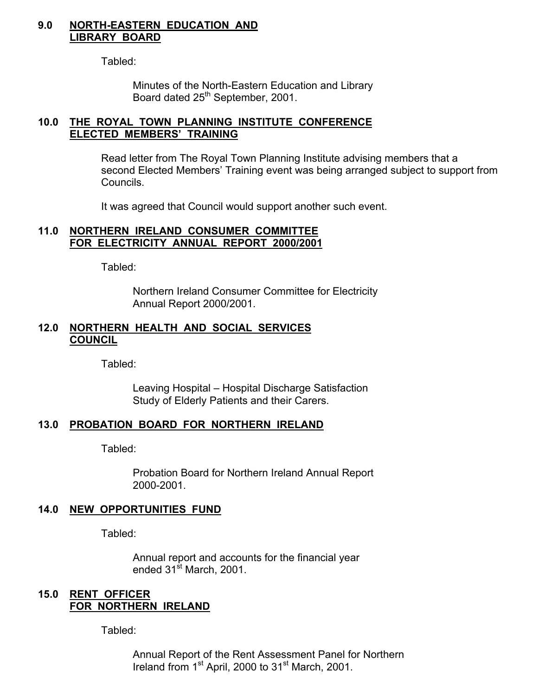#### **9.0 NORTH-EASTERN EDUCATION AND LIBRARY BOARD**

Tabled:

 Minutes of the North-Eastern Education and Library Board dated 25<sup>th</sup> September, 2001.

### **10.0 THE ROYAL TOWN PLANNING INSTITUTE CONFERENCE ELECTED MEMBERS' TRAINING**

 Read letter from The Royal Town Planning Institute advising members that a second Elected Members' Training event was being arranged subject to support from Councils.

It was agreed that Council would support another such event.

#### **11.0 NORTHERN IRELAND CONSUMER COMMITTEE FOR ELECTRICITY ANNUAL REPORT 2000/2001**

Tabled:

 Northern Ireland Consumer Committee for Electricity Annual Report 2000/2001.

#### **12.0 NORTHERN HEALTH AND SOCIAL SERVICES COUNCIL**

Tabled:

 Leaving Hospital – Hospital Discharge Satisfaction Study of Elderly Patients and their Carers.

#### **13.0 PROBATION BOARD FOR NORTHERN IRELAND**

Tabled:

 Probation Board for Northern Ireland Annual Report 2000-2001.

#### **14.0 NEW OPPORTUNITIES FUND**

Tabled:

 Annual report and accounts for the financial year ended 31<sup>st</sup> March, 2001.

#### **15.0 RENT OFFICER FOR NORTHERN IRELAND**

Tabled:

 Annual Report of the Rent Assessment Panel for Northern Ireland from 1<sup>st</sup> April, 2000 to 31<sup>st</sup> March, 2001.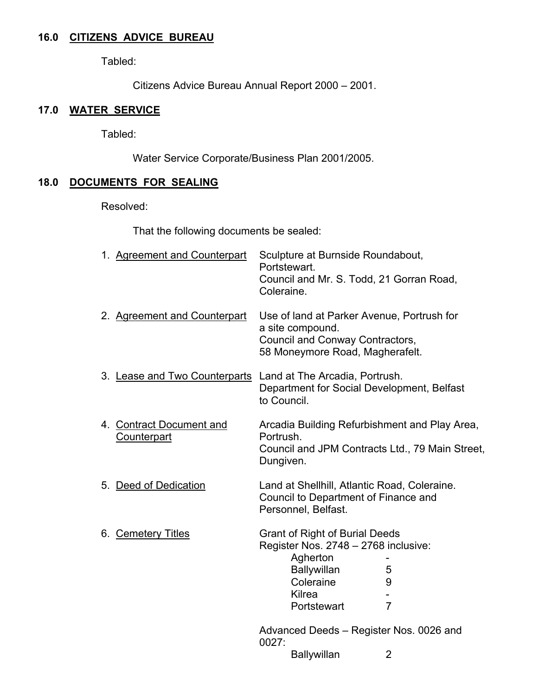## **16.0 CITIZENS ADVICE BUREAU**

Tabled:

Citizens Advice Bureau Annual Report 2000 – 2001.

## **17.0 WATER SERVICE**

Tabled:

Water Service Corporate/Business Plan 2001/2005.

## **18.0 DOCUMENTS FOR SEALING**

Resolved:

That the following documents be sealed:

| 1. Agreement and Counterpart                                 | Sculpture at Burnside Roundabout,<br>Portstewart.<br>Council and Mr. S. Todd, 21 Gorran Road,<br>Coleraine.                                           |                          |
|--------------------------------------------------------------|-------------------------------------------------------------------------------------------------------------------------------------------------------|--------------------------|
| 2. Agreement and Counterpart                                 | Use of land at Parker Avenue, Portrush for<br>a site compound.<br>Council and Conway Contractors,<br>58 Moneymore Road, Magherafelt.                  |                          |
| 3. Lease and Two Counterparts Land at The Arcadia, Portrush. | Department for Social Development, Belfast<br>to Council.                                                                                             |                          |
| 4. Contract Document and<br>Counterpart                      | Arcadia Building Refurbishment and Play Area,<br>Portrush.<br>Council and JPM Contracts Ltd., 79 Main Street,<br>Dungiven.                            |                          |
| 5. Deed of Dedication                                        | Land at Shellhill, Atlantic Road, Coleraine.<br>Council to Department of Finance and<br>Personnel, Belfast.                                           |                          |
| 6. Cemetery Titles                                           | <b>Grant of Right of Burial Deeds</b><br>Register Nos. 2748 - 2768 inclusive:<br>Agherton<br><b>Ballywillan</b><br>Coleraine<br>Kilrea<br>Portstewart | 5<br>9<br>$\overline{7}$ |
|                                                              | Advanced Deeds - Register Nos. 0026 and<br>0027:                                                                                                      |                          |
|                                                              | Ballywillan                                                                                                                                           | 2                        |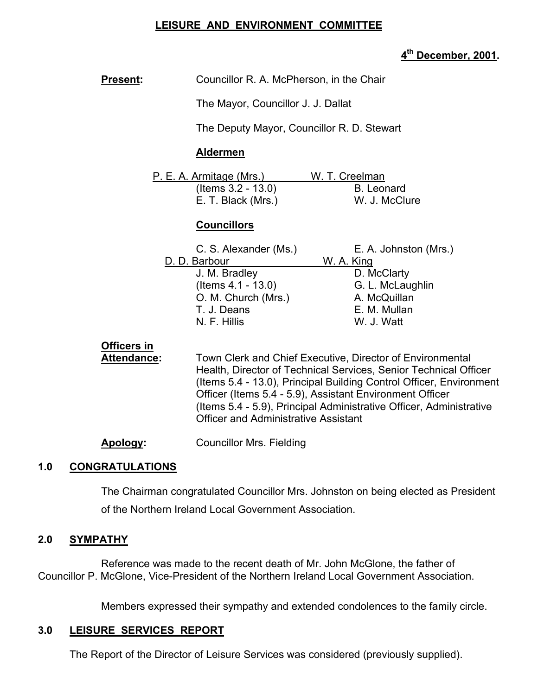## **LEISURE AND ENVIRONMENT COMMITTEE**

# **4th December, 2001.**

| <b>Present:</b>                   | Councillor R. A. McPherson, in the Chair                                                                                                                                                                                                                                                                                                                                               |                                                                                                                      |  |  |
|-----------------------------------|----------------------------------------------------------------------------------------------------------------------------------------------------------------------------------------------------------------------------------------------------------------------------------------------------------------------------------------------------------------------------------------|----------------------------------------------------------------------------------------------------------------------|--|--|
|                                   |                                                                                                                                                                                                                                                                                                                                                                                        | The Mayor, Councillor J. J. Dallat                                                                                   |  |  |
|                                   | The Deputy Mayor, Councillor R. D. Stewart                                                                                                                                                                                                                                                                                                                                             |                                                                                                                      |  |  |
|                                   | <b>Aldermen</b>                                                                                                                                                                                                                                                                                                                                                                        |                                                                                                                      |  |  |
|                                   | P. E. A. Armitage (Mrs.)<br>(Items 3.2 - 13.0)<br>E. T. Black (Mrs.)                                                                                                                                                                                                                                                                                                                   | W. T. Creelman<br><b>B.</b> Leonard<br>W. J. McClure                                                                 |  |  |
|                                   | <b>Councillors</b>                                                                                                                                                                                                                                                                                                                                                                     |                                                                                                                      |  |  |
|                                   | C. S. Alexander (Ms.)<br>D. D. Barbour<br>J. M. Bradley<br>(Items $4.1 - 13.0$ )<br>O. M. Church (Mrs.)<br>T. J. Deans<br>N. F. Hillis                                                                                                                                                                                                                                                 | E. A. Johnston (Mrs.)<br>W. A. King<br>D. McClarty<br>G. L. McLaughlin<br>A. McQuillan<br>E. M. Mullan<br>W. J. Watt |  |  |
| Officers in<br><b>Attendance:</b> | Town Clerk and Chief Executive, Director of Environmental<br>Health, Director of Technical Services, Senior Technical Officer<br>(Items 5.4 - 13.0), Principal Building Control Officer, Environment<br>Officer (Items 5.4 - 5.9), Assistant Environment Officer<br>(Items 5.4 - 5.9), Principal Administrative Officer, Administrative<br><b>Officer and Administrative Assistant</b> |                                                                                                                      |  |  |
| Apology:                          | <b>Councillor Mrs. Fielding</b>                                                                                                                                                                                                                                                                                                                                                        |                                                                                                                      |  |  |
| 1.0<br><b>CONGRATULATIONS</b>     |                                                                                                                                                                                                                                                                                                                                                                                        |                                                                                                                      |  |  |
|                                   | The Chairman congratulated Councillor Mrs. Johnston on being elected as President                                                                                                                                                                                                                                                                                                      |                                                                                                                      |  |  |

of the Northern Ireland Local Government Association.

#### **2.0 SYMPATHY**

 Reference was made to the recent death of Mr. John McGlone, the father of Councillor P. McGlone, Vice-President of the Northern Ireland Local Government Association.

Members expressed their sympathy and extended condolences to the family circle.

#### **3.0 LEISURE SERVICES REPORT**

The Report of the Director of Leisure Services was considered (previously supplied).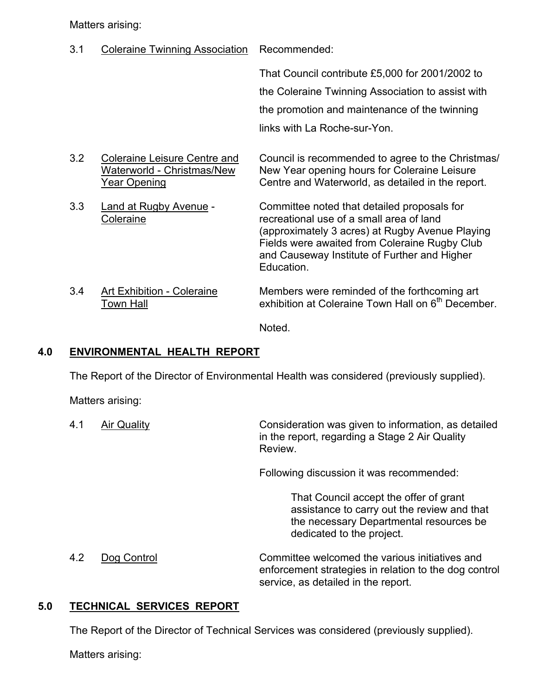Matters arising:

3.1 Coleraine Twinning Association Recommended: That Council contribute £5,000 for 2001/2002 to the Coleraine Twinning Association to assist with the promotion and maintenance of the twinning links with La Roche-sur-Yon. 3.2 Coleraine Leisure Centre and Council is recommended to agree to the Christmas/ Waterworld - Christmas/New New Year opening hours for Coleraine Leisure Year Opening Centre and Waterworld, as detailed in the report. 3.3 Land at Rugby Avenue - Committee noted that detailed proposals for Coleraine recreational use of a small area of land (approximately 3 acres) at Rugby Avenue Playing Fields were awaited from Coleraine Rugby Club and Causeway Institute of Further and Higher Education. 3.4 Art Exhibition - Coleraine Members were reminded of the forthcoming art Town Hall **Exhibition at Coleraine Town Hall on 6<sup>th</sup> December.** 

Noted.

## **4.0 ENVIRONMENTAL HEALTH REPORT**

The Report of the Director of Environmental Health was considered (previously supplied).

Matters arising:

 4.1 Air Quality Consideration was given to information, as detailed in the report, regarding a Stage 2 Air Quality Review.

Following discussion it was recommended:

 That Council accept the offer of grant assistance to carry out the review and that the necessary Departmental resources be dedicated to the project.

 4.2 Dog Control Committee welcomed the various initiatives and enforcement strategies in relation to the dog control service, as detailed in the report.

## **5.0 TECHNICAL SERVICES REPORT**

The Report of the Director of Technical Services was considered (previously supplied).

Matters arising: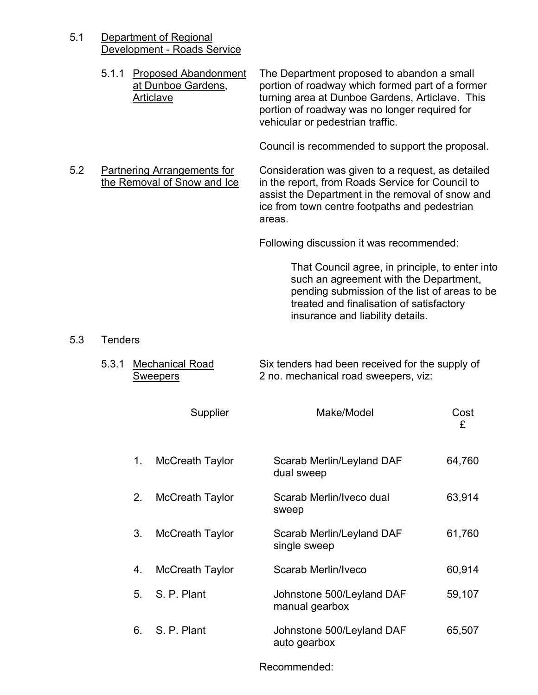5.1 Department of Regional Development - Roads Service

|     |                | 5.1.1 Proposed Abandonment<br>at Dunboe Gardens,<br>Articlave     | The Department proposed to abandon a small<br>portion of roadway which formed part of a former<br>turning area at Dunboe Gardens, Articlave. This<br>portion of roadway was no longer required for<br>vehicular or pedestrian traffic. |           |
|-----|----------------|-------------------------------------------------------------------|----------------------------------------------------------------------------------------------------------------------------------------------------------------------------------------------------------------------------------------|-----------|
|     |                |                                                                   | Council is recommended to support the proposal.                                                                                                                                                                                        |           |
| 5.2 |                | <b>Partnering Arrangements for</b><br>the Removal of Snow and Ice | Consideration was given to a request, as detailed<br>in the report, from Roads Service for Council to<br>assist the Department in the removal of snow and<br>ice from town centre footpaths and pedestrian<br>areas.                   |           |
|     |                |                                                                   | Following discussion it was recommended:                                                                                                                                                                                               |           |
|     |                |                                                                   | That Council agree, in principle, to enter into<br>such an agreement with the Department,<br>pending submission of the list of areas to be<br>treated and finalisation of satisfactory<br>insurance and liability details.             |           |
| 5.3 | <b>Tenders</b> |                                                                   |                                                                                                                                                                                                                                        |           |
|     | 5.3.1          | Mechanical Road<br><b>Sweepers</b>                                | Six tenders had been received for the supply of<br>2 no. mechanical road sweepers, viz:                                                                                                                                                |           |
|     |                | Supplier                                                          | Make/Model                                                                                                                                                                                                                             | Cost<br>£ |
|     | 1.             | <b>McCreath Taylor</b>                                            | Scarab Merlin/Leyland DAF<br>dual sweep                                                                                                                                                                                                | 64,760    |
|     | 2.             | McCreath Taylor                                                   | Scarab Merlin/Iveco dual<br>sweep                                                                                                                                                                                                      | 63,914    |
|     | 3.             | <b>McCreath Taylor</b>                                            | Scarab Merlin/Leyland DAF<br>single sweep                                                                                                                                                                                              | 61,760    |
|     | 4.             | McCreath Taylor                                                   | Scarab Merlin/Iveco                                                                                                                                                                                                                    | 60,914    |

5. S. P. Plant Johnstone 500/Leyland DAF manual gearbox 59,107 6. S. P. Plant Johnstone 500/Leyland DAF auto gearbox 65,507

Recommended: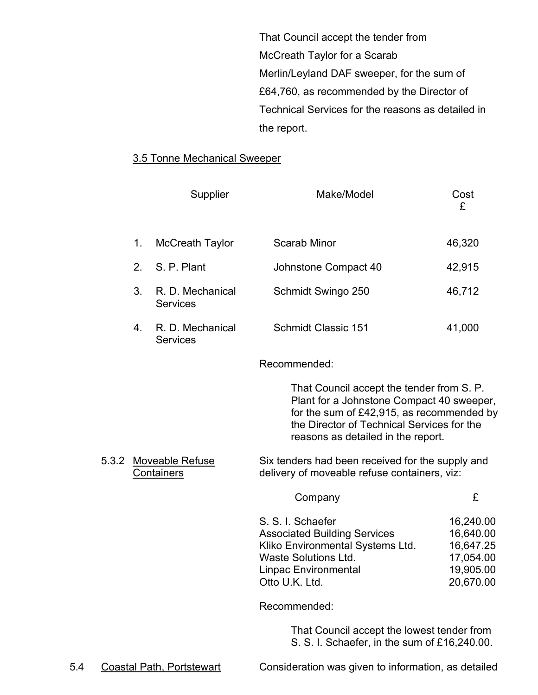That Council accept the tender from McCreath Taylor for a Scarab Merlin/Leyland DAF sweeper, for the sum of £64,760, as recommended by the Director of Technical Services for the reasons as detailed in the report.

#### 3.5 Tonne Mechanical Sweeper

|       |    | Supplier                            | Make/Model                                                                                                                                                                                                                 | Cost<br>£ |
|-------|----|-------------------------------------|----------------------------------------------------------------------------------------------------------------------------------------------------------------------------------------------------------------------------|-----------|
|       | 1. | <b>McCreath Taylor</b>              | Scarab Minor                                                                                                                                                                                                               | 46,320    |
|       | 2. | S. P. Plant                         | Johnstone Compact 40                                                                                                                                                                                                       | 42,915    |
|       | 3. | R. D. Mechanical<br><b>Services</b> | Schmidt Swingo 250                                                                                                                                                                                                         | 46,712    |
|       | 4. | R. D. Mechanical<br><b>Services</b> | <b>Schmidt Classic 151</b>                                                                                                                                                                                                 | 41,000    |
|       |    |                                     | Recommended:                                                                                                                                                                                                               |           |
|       |    |                                     | That Council accept the tender from S. P.<br>Plant for a Johnstone Compact 40 sweeper,<br>for the sum of $£42,915$ , as recommended by<br>the Director of Technical Services for the<br>reasons as detailed in the report. |           |
| 5.3.2 |    | Moveable Refuse<br>Containers       | Six tenders had been received for the supply and<br>delivery of moveable refuse containers, viz:                                                                                                                           |           |

Company £

| 16,240.00 |
|-----------|
| 16,640.00 |
| 16,647.25 |
| 17,054.00 |
| 19,905.00 |
| 20,670.00 |
|           |

Recommended:

 That Council accept the lowest tender from S. S. I. Schaefer, in the sum of £16,240.00.

5.4 Coastal Path, Portstewart Consideration was given to information, as detailed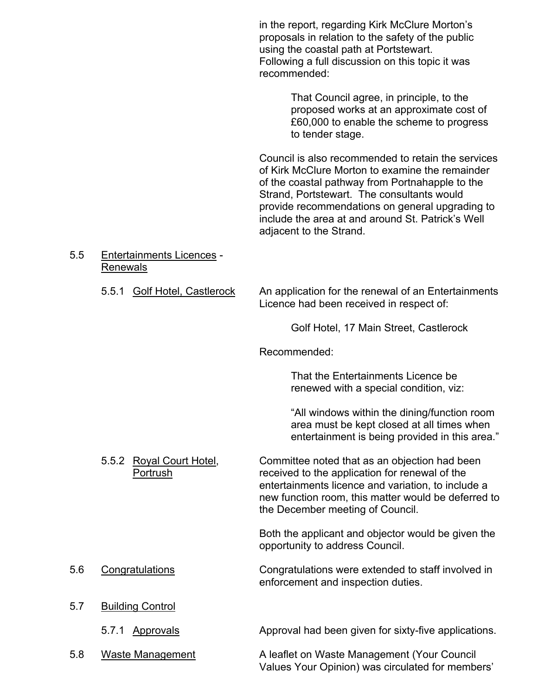in the report, regarding Kirk McClure Morton's proposals in relation to the safety of the public using the coastal path at Portstewart. Following a full discussion on this topic it was recommended:

> That Council agree, in principle, to the proposed works at an approximate cost of £60,000 to enable the scheme to progress to tender stage.

Council is also recommended to retain the services of Kirk McClure Morton to examine the remainder of the coastal pathway from Portnahapple to the Strand, Portstewart. The consultants would provide recommendations on general upgrading to include the area at and around St. Patrick's Well adjacent to the Strand.

 5.5 Entertainments Licences - Renewals

> 5.5.1 Golf Hotel, Castlerock An application for the renewal of an Entertainments Licence had been received in respect of:

> > Golf Hotel, 17 Main Street, Castlerock

Recommended:

 That the Entertainments Licence be renewed with a special condition, viz:

"All windows within the dining/function room area must be kept closed at all times when entertainment is being provided in this area."

 5.5.2 Royal Court Hotel, Committee noted that as an objection had been Portrush received to the application for renewal of the entertainments licence and variation, to include a new function room, this matter would be deferred to the December meeting of Council.

> Both the applicant and objector would be given the opportunity to address Council.

- 5.6 Congratulations Congratulations were extended to staff involved in enforcement and inspection duties.
- 5.7 Building Control
	- 5.7.1 Approvals Approval had been given for sixty-five applications.
- 

5.8 Waste Management **A** leaflet on Waste Management (Your Council

Values Your Opinion) was circulated for members'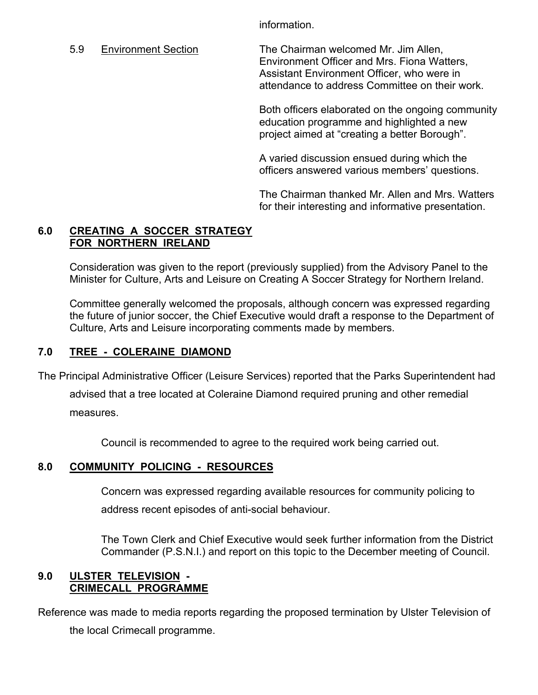information.

 5.9 Environment Section The Chairman welcomed Mr. Jim Allen, Environment Officer and Mrs. Fiona Watters, Assistant Environment Officer, who were in attendance to address Committee on their work.

> Both officers elaborated on the ongoing community education programme and highlighted a new project aimed at "creating a better Borough".

A varied discussion ensued during which the officers answered various members' questions.

The Chairman thanked Mr. Allen and Mrs. Watters for their interesting and informative presentation.

### **6.0 CREATING A SOCCER STRATEGY FOR NORTHERN IRELAND**

Consideration was given to the report (previously supplied) from the Advisory Panel to the Minister for Culture, Arts and Leisure on Creating A Soccer Strategy for Northern Ireland.

Committee generally welcomed the proposals, although concern was expressed regarding the future of junior soccer, the Chief Executive would draft a response to the Department of Culture, Arts and Leisure incorporating comments made by members.

## **7.0 TREE - COLERAINE DIAMOND**

The Principal Administrative Officer (Leisure Services) reported that the Parks Superintendent had

advised that a tree located at Coleraine Diamond required pruning and other remedial measures.

Council is recommended to agree to the required work being carried out.

## **8.0 COMMUNITY POLICING - RESOURCES**

 Concern was expressed regarding available resources for community policing to address recent episodes of anti-social behaviour.

 The Town Clerk and Chief Executive would seek further information from the District Commander (P.S.N.I.) and report on this topic to the December meeting of Council.

#### **9.0 ULSTER TELEVISION - CRIMECALL PROGRAMME**

Reference was made to media reports regarding the proposed termination by Ulster Television of

the local Crimecall programme.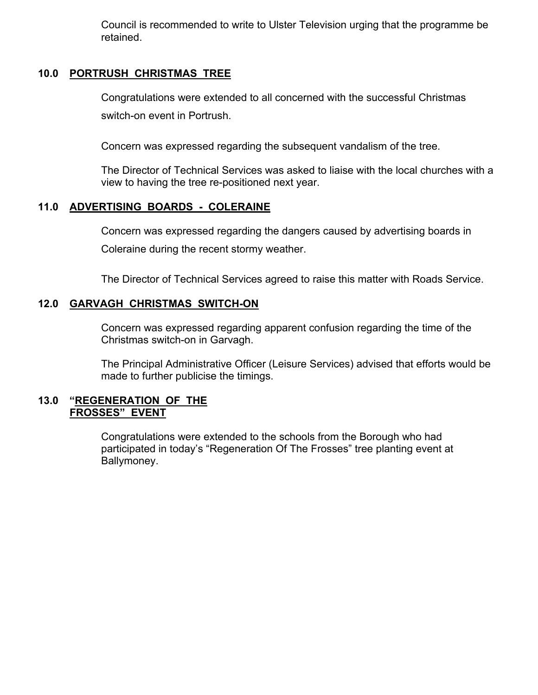Council is recommended to write to Ulster Television urging that the programme be retained.

## **10.0 PORTRUSH CHRISTMAS TREE**

 Congratulations were extended to all concerned with the successful Christmas switch-on event in Portrush.

Concern was expressed regarding the subsequent vandalism of the tree.

 The Director of Technical Services was asked to liaise with the local churches with a view to having the tree re-positioned next year.

## **11.0 ADVERTISING BOARDS - COLERAINE**

 Concern was expressed regarding the dangers caused by advertising boards in Coleraine during the recent stormy weather.

The Director of Technical Services agreed to raise this matter with Roads Service.

#### **12.0 GARVAGH CHRISTMAS SWITCH-ON**

 Concern was expressed regarding apparent confusion regarding the time of the Christmas switch-on in Garvagh.

 The Principal Administrative Officer (Leisure Services) advised that efforts would be made to further publicise the timings.

#### **13.0 "REGENERATION OF THE FROSSES" EVENT**

 Congratulations were extended to the schools from the Borough who had participated in today's "Regeneration Of The Frosses" tree planting event at Ballymoney.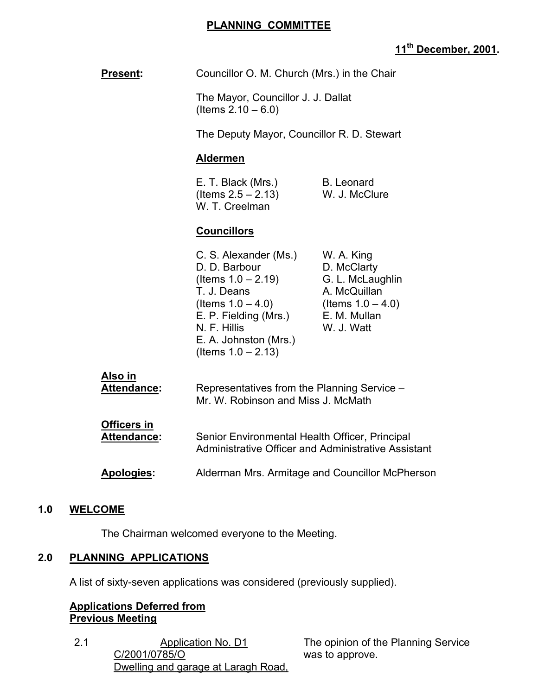## **PLANNING COMMITTEE**

# **11th December, 2001.**

| <b>Present:</b>                   | Councillor O. M. Church (Mrs.) in the Chair                                                                                                                                                       |                                                                                                                     |
|-----------------------------------|---------------------------------------------------------------------------------------------------------------------------------------------------------------------------------------------------|---------------------------------------------------------------------------------------------------------------------|
|                                   | The Mayor, Councillor J. J. Dallat<br>(Items $2.10 - 6.0$ )                                                                                                                                       |                                                                                                                     |
|                                   | The Deputy Mayor, Councillor R. D. Stewart                                                                                                                                                        |                                                                                                                     |
|                                   | <b>Aldermen</b>                                                                                                                                                                                   |                                                                                                                     |
|                                   | E. T. Black (Mrs.)<br>(Items $2.5 - 2.13$ )<br>W. T. Creelman                                                                                                                                     | <b>B.</b> Leonard<br>W. J. McClure                                                                                  |
|                                   | <b>Councillors</b>                                                                                                                                                                                |                                                                                                                     |
|                                   | C. S. Alexander (Ms.)<br>D. D. Barbour<br>(Items $1.0 - 2.19$ )<br>T. J. Deans<br>(Items $1.0 - 4.0$ )<br>E. P. Fielding (Mrs.)<br>N. F. Hillis<br>E. A. Johnston (Mrs.)<br>(Items $1.0 - 2.13$ ) | W. A. King<br>D. McClarty<br>G. L. McLaughlin<br>A. McQuillan<br>(Items $1.0 - 4.0$ )<br>E. M. Mullan<br>W. J. Watt |
| Also in<br>Attendance:            | Representatives from the Planning Service -<br>Mr. W. Robinson and Miss J. McMath                                                                                                                 |                                                                                                                     |
| <b>Officers in</b><br>Attendance: | Senior Environmental Health Officer, Principal<br><b>Administrative Officer and Administrative Assistant</b>                                                                                      |                                                                                                                     |
| Apologies:                        |                                                                                                                                                                                                   | Alderman Mrs. Armitage and Councillor McPherson                                                                     |
| 1.0<br><b>WELCOME</b>             |                                                                                                                                                                                                   |                                                                                                                     |

The Chairman welcomed everyone to the Meeting.

# **2.0 PLANNING APPLICATIONS**

A list of sixty-seven applications was considered (previously supplied).

## **Applications Deferred from Previous Meeting**

2.1 Application No. D1 C/2001/0785/O Dwelling and garage at Laragh Road, The opinion of the Planning Service was to approve.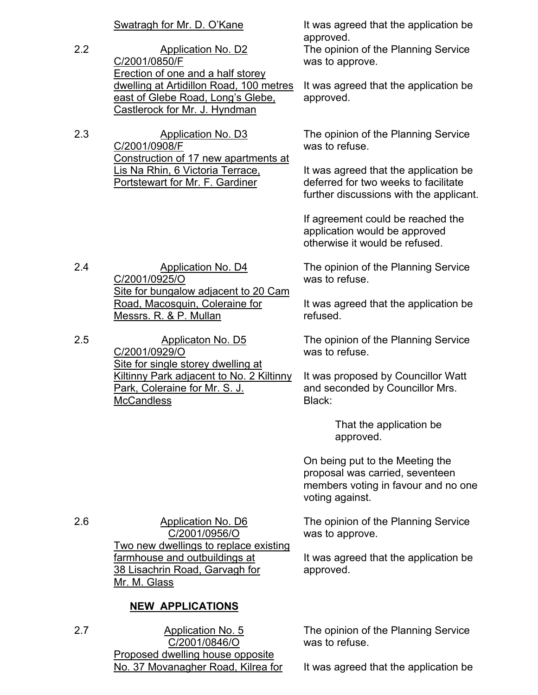2.2 Application No. D2 C/2001/0850/F Erection of one and a half storey dwelling at Artidillon Road, 100 metres east of Glebe Road, Long's Glebe, Castlerock for Mr. J. Hyndman

2.3 Application No. D3 C/2001/0908/F Construction of 17 new apartments at Lis Na Rhin, 6 Victoria Terrace, Portstewart for Mr. F. Gardiner

Swatragh for Mr. D. O'Kane It was agreed that the application be approved.

The opinion of the Planning Service was to approve.

It was agreed that the application be approved.

The opinion of the Planning Service was to refuse.

It was agreed that the application be deferred for two weeks to facilitate further discussions with the applicant.

If agreement could be reached the application would be approved otherwise it would be refused.

The opinion of the Planning Service was to refuse.

It was agreed that the application be refused.

The opinion of the Planning Service was to refuse.

It was proposed by Councillor Watt and seconded by Councillor Mrs. Black:

> That the application be approved.

On being put to the Meeting the proposal was carried, seventeen members voting in favour and no one voting against.

The opinion of the Planning Service was to approve.

It was agreed that the application be approved.

The opinion of the Planning Service was to refuse.

It was agreed that the application be

2.4 Application No. D4 C/2001/0925/O Site for bungalow adjacent to 20 Cam Road, Macosquin, Coleraine for Messrs. R. & P. Mullan

2.5 Applicaton No. D5 C/2001/0929/O Site for single storey dwelling at Kiltinny Park adjacent to No. 2 Kiltinny Park, Coleraine for Mr. S. J. **McCandless** 

2.6 Application No. D6 C/2001/0956/O Two new dwellings to replace existing farmhouse and outbuildings at 38 Lisachrin Road, Garvagh for Mr. M. Glass

#### **NEW APPLICATIONS**

2.7 Application No. 5 C/2001/0846/O Proposed dwelling house opposite No. 37 Movanagher Road, Kilrea for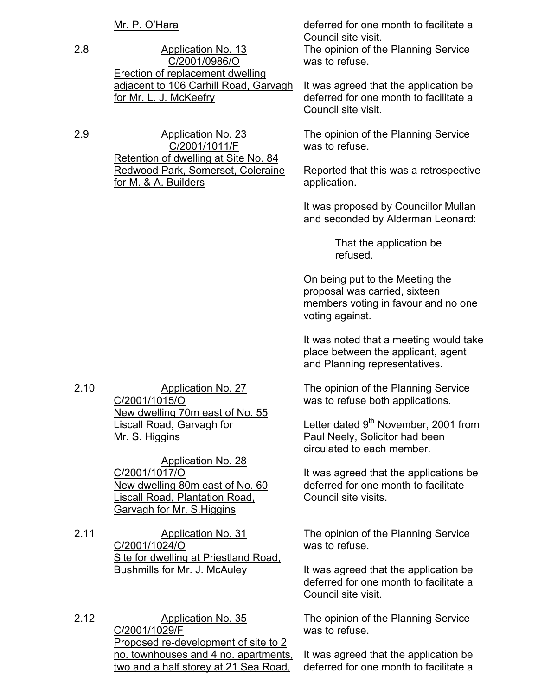2.8 Application No. 13 C/2001/0986/O Erection of replacement dwelling adjacent to 106 Carhill Road, Garvagh for Mr. L. J. McKeefry

2.9 Application No. 23 C/2001/1011/F Retention of dwelling at Site No. 84 Redwood Park, Somerset, Coleraine for M. & A. Builders

Mr. P. O'Hara **deferred** for one month to facilitate a Council site visit.

The opinion of the Planning Service was to refuse.

It was agreed that the application be deferred for one month to facilitate a Council site visit.

The opinion of the Planning Service was to refuse.

Reported that this was a retrospective application.

It was proposed by Councillor Mullan and seconded by Alderman Leonard:

> That the application be refused.

On being put to the Meeting the proposal was carried, sixteen members voting in favour and no one voting against.

It was noted that a meeting would take place between the applicant, agent and Planning representatives.

The opinion of the Planning Service was to refuse both applications.

Letter dated 9<sup>th</sup> November, 2001 from Paul Neely, Solicitor had been circulated to each member.

It was agreed that the applications be deferred for one month to facilitate Council site visits.

The opinion of the Planning Service was to refuse.

It was agreed that the application be deferred for one month to facilitate a Council site visit.

The opinion of the Planning Service was to refuse.

It was agreed that the application be deferred for one month to facilitate a

2.10 Application No. 27 C/2001/1015/O New dwelling 70m east of No. 55 Liscall Road, Garvagh for Mr. S. Higgins

> Application No. 28 C/2001/1017/O New dwelling 80m east of No. 60 Liscall Road, Plantation Road, Garvagh for Mr. S.Higgins

2.11 Application No. 31 C/2001/1024/O Site for dwelling at Priestland Road, Bushmills for Mr. J. McAuley

2.12 Application No. 35 C/2001/1029/F Proposed re-development of site to 2 no. townhouses and 4 no. apartments, two and a half storey at 21 Sea Road,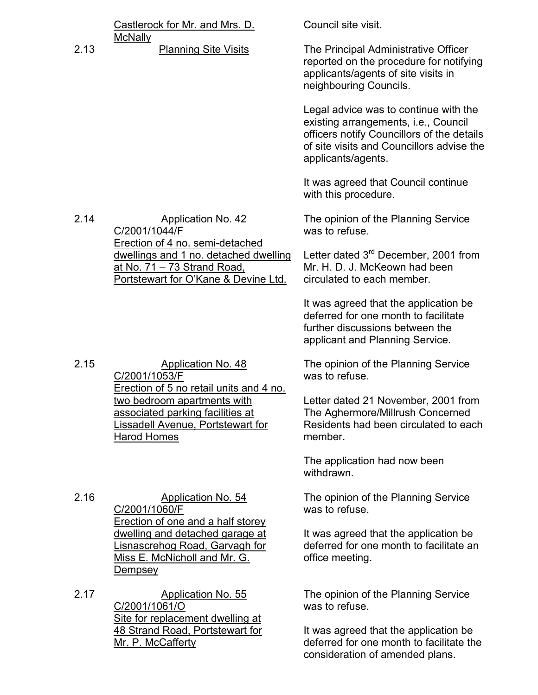|      | Castlerock for Mr. and Mrs. D.                                                                                      | Council site visit.                                                                                                                                                                            |
|------|---------------------------------------------------------------------------------------------------------------------|------------------------------------------------------------------------------------------------------------------------------------------------------------------------------------------------|
| 2.13 | <b>McNally</b><br><b>Planning Site Visits</b>                                                                       | The Principal Administrative Officer<br>reported on the procedure for notifying<br>applicants/agents of site visits in<br>neighbouring Councils.                                               |
|      |                                                                                                                     | Legal advice was to continue with the<br>existing arrangements, i.e., Council<br>officers notify Councillors of the details<br>of site visits and Councillors advise the<br>applicants/agents. |
|      |                                                                                                                     | It was agreed that Council continue<br>with this procedure.                                                                                                                                    |
| 2.14 | <b>Application No. 42</b><br>C/2001/1044/F<br>Erection of 4 no. semi-detached                                       | The opinion of the Planning Service<br>was to refuse.                                                                                                                                          |
|      | dwellings and 1 no. detached dwelling<br>at No. 71 - 73 Strand Road,<br>Portstewart for O'Kane & Devine Ltd.        | Letter dated 3 <sup>rd</sup> December, 2001 from<br>Mr. H. D. J. McKeown had been<br>circulated to each member.                                                                                |
|      |                                                                                                                     | It was agreed that the application be<br>deferred for one month to facilitate<br>further discussions between the<br>applicant and Planning Service.                                            |
| 2.15 | Application No. 48<br>C/2001/1053/F<br>Erection of 5 no retail units and 4 no.                                      | The opinion of the Planning Service<br>was to refuse.                                                                                                                                          |
|      | two bedroom apartments with<br>associated parking facilities at<br>Lissadell Avenue, Portstewart for<br>Harod Homes | Letter dated 21 November, 2001 from<br>The Aghermore/Millrush Concerned<br>Residents had been circulated to each<br>member.                                                                    |
|      |                                                                                                                     | The application had now been<br>withdrawn.                                                                                                                                                     |
| 2.16 | Application No. 54<br>C/2001/1060/F<br>Erection of one and a half storey                                            | The opinion of the Planning Service<br>was to refuse.                                                                                                                                          |
|      | dwelling and detached garage at<br>Lisnascrehog Road, Garvagh for<br>Miss E. McNicholl and Mr. G.<br><b>Dempsey</b> | It was agreed that the application be<br>deferred for one month to facilitate an<br>office meeting.                                                                                            |
| 2.17 | <b>Application No. 55</b><br>C/2001/1061/O<br>Site for replacement dwelling at                                      | The opinion of the Planning Service<br>was to refuse.                                                                                                                                          |
|      | 48 Strand Road, Portstewart for<br>Mr. P. McCafferty                                                                | It was agreed that the application be<br>deferred for one month to facilitate the<br>consideration of amended plans.                                                                           |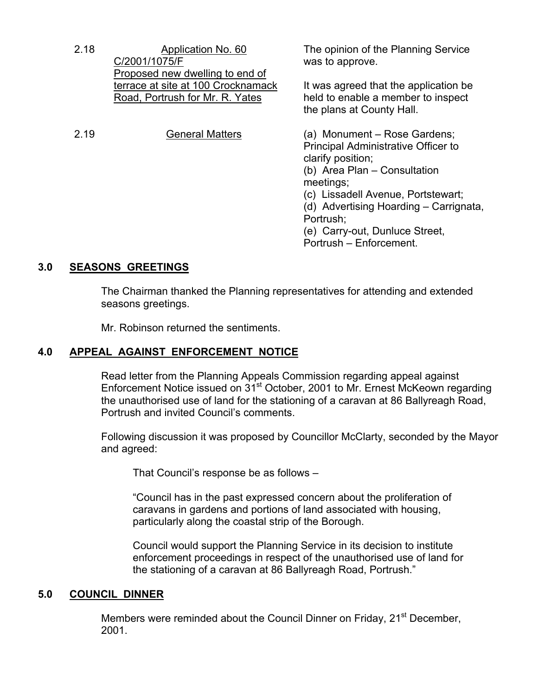| 2.18 | Application No. 60<br>C/2001/1075/F                                                                      | The opinion of the Planning Service<br>was to approve.                                                                                                                                                                                                                                                 |
|------|----------------------------------------------------------------------------------------------------------|--------------------------------------------------------------------------------------------------------------------------------------------------------------------------------------------------------------------------------------------------------------------------------------------------------|
|      | Proposed new dwelling to end of<br>terrace at site at 100 Crocknamack<br>Road, Portrush for Mr. R. Yates | It was agreed that the application be<br>held to enable a member to inspect<br>the plans at County Hall.                                                                                                                                                                                               |
| 2.19 | <b>General Matters</b>                                                                                   | (a) Monument – Rose Gardens;<br><b>Principal Administrative Officer to</b><br>clarify position;<br>(b) Area Plan - Consultation<br>meetings;<br>(c) Lissadell Avenue, Portstewart;<br>(d) Advertising Hoarding – Carrignata,<br>Portrush;<br>(e) Carry-out, Dunluce Street,<br>Portrush - Enforcement. |

## **3.0 SEASONS GREETINGS**

 The Chairman thanked the Planning representatives for attending and extended seasons greetings.

Mr. Robinson returned the sentiments.

#### **4.0 APPEAL AGAINST ENFORCEMENT NOTICE**

 Read letter from the Planning Appeals Commission regarding appeal against Enforcement Notice issued on 31<sup>st</sup> October, 2001 to Mr. Ernest McKeown regarding the unauthorised use of land for the stationing of a caravan at 86 Ballyreagh Road, Portrush and invited Council's comments.

 Following discussion it was proposed by Councillor McClarty, seconded by the Mayor and agreed:

That Council's response be as follows –

 "Council has in the past expressed concern about the proliferation of caravans in gardens and portions of land associated with housing, particularly along the coastal strip of the Borough.

 Council would support the Planning Service in its decision to institute enforcement proceedings in respect of the unauthorised use of land for the stationing of a caravan at 86 Ballyreagh Road, Portrush."

#### **5.0 COUNCIL DINNER**

Members were reminded about the Council Dinner on Friday, 21<sup>st</sup> December, 2001.